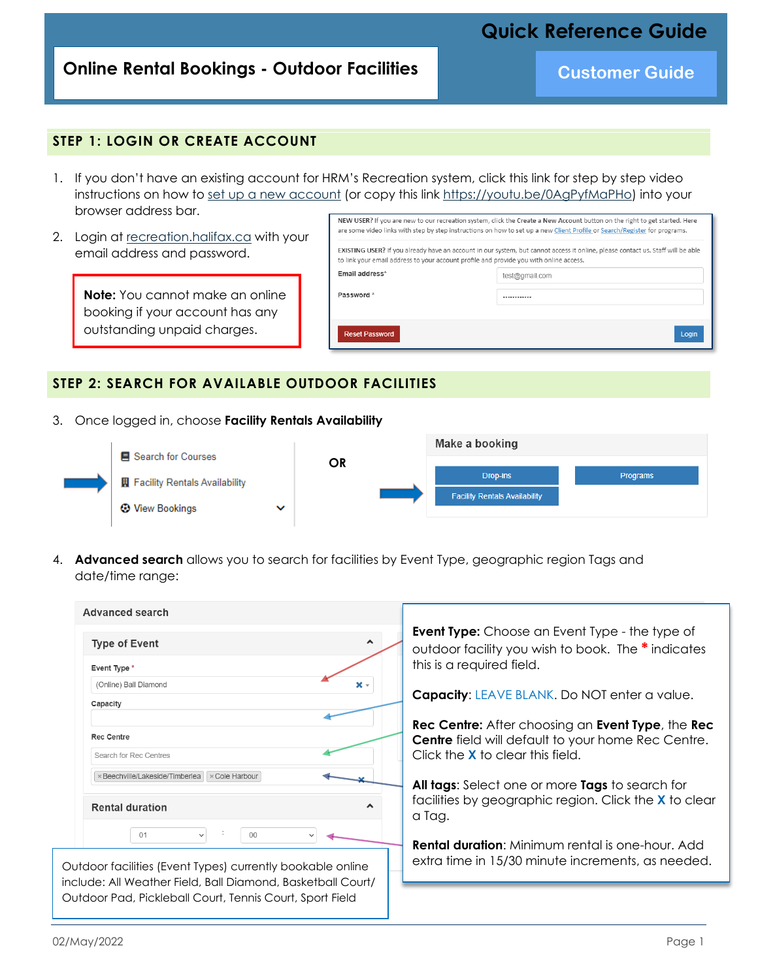### **Online Rental Bookings - Outdoor Facilities and Customer Guide**

#### **STEP 1: LOGIN OR CREATE ACCOUNT**

- 1. If you don't have an existing account for HRM's Recreation system, click this link for step by step video instructions on how to [set up a new account](https://youtu.be/0AgPyfMaPHo) (or copy this link [https://youtu.be/0AgPyfMaPHo\)](https://youtu.be/0AgPyfMaPHo) into your browser address bar.
- 2. Login at [recreation.halifax.ca](https://recreation.halifax.ca/enterprise/account/login) with your email address and password.

**Note:** You cannot make an online booking if your account has any outstanding unpaid charges.

|                                                                                        | NEW USER? If you are new to our recreation system, click the Create a New Account button on the right to get started. Here<br>are some video links with step by step instructions on how to set up a new Client Profile or Search/Register for programs. |
|----------------------------------------------------------------------------------------|----------------------------------------------------------------------------------------------------------------------------------------------------------------------------------------------------------------------------------------------------------|
| to link your email address to your account profile and provide you with online access. | EXISTING USER? If you already have an account in our system, but cannot access it online, please contact us. Staff will be able                                                                                                                          |
| Email address*                                                                         | test@gmail.com                                                                                                                                                                                                                                           |
| Password *                                                                             |                                                                                                                                                                                                                                                          |
|                                                                                        |                                                                                                                                                                                                                                                          |
| <b>Reset Password</b>                                                                  | Login                                                                                                                                                                                                                                                    |

#### **STEP 2: SEARCH FOR AVAILABLE OUTDOOR FACILITIES**

3. Once logged in, choose **Facility Rentals Availability**



4. **Advanced search** allows you to search for facilities by Event Type, geographic region Tags and date/time range:

| <b>Advanced search</b>                                                                                                  |                                                                                                                                                                                 |
|-------------------------------------------------------------------------------------------------------------------------|---------------------------------------------------------------------------------------------------------------------------------------------------------------------------------|
| <b>Type of Event</b>                                                                                                    | <b>Event Type:</b> Choose an Event Type - the type of<br>outdoor facility you wish to book. The * indicates                                                                     |
| Event Type *                                                                                                            | this is a required field.                                                                                                                                                       |
| (Online) Ball Diamond<br>$x -$<br>Capacity                                                                              | <b>Capacity: LEAVE BLANK. Do NOT enter a value.</b>                                                                                                                             |
| <b>Rec Centre</b><br>Search for Rec Centres                                                                             | <b>Rec Centre:</b> After choosing an <b>Event Type</b> , the <b>Rec</b><br><b>Centre</b> field will default to your home Rec Centre.<br>Click the <b>X</b> to clear this field. |
| Beechville/Lakeside/Timberlea<br>* Cole Harbour<br><b>Rental duration</b><br>ㅅ                                          | <b>All tags:</b> Select one or more <b>Tags</b> to search for<br>facilities by geographic region. Click the <b>X</b> to clear                                                   |
| 00<br>01<br>Outdoor facilities (Event Types) currently bookable online                                                  | a Tag.<br><b>Rental duration:</b> Minimum rental is one-hour. Add<br>extra time in 15/30 minute increments, as needed.                                                          |
| include: All Weather Field, Ball Diamond, Basketball Court/<br>Outdoor Pad, Pickleball Court, Tennis Court, Sport Field |                                                                                                                                                                                 |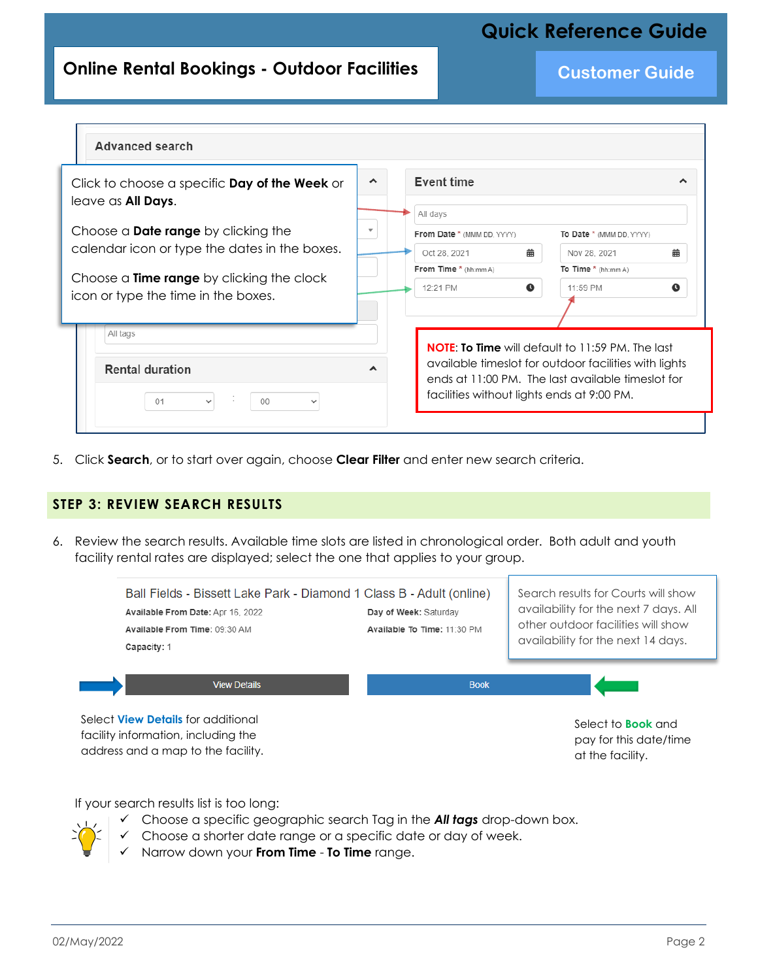### **Online Rental Bookings - Outdoor Facilities and Customer Guide**

| Advanced search                                                                                                                                                                        |                  |                                                                                                                                                                                                                     |
|----------------------------------------------------------------------------------------------------------------------------------------------------------------------------------------|------------------|---------------------------------------------------------------------------------------------------------------------------------------------------------------------------------------------------------------------|
| Click to choose a specific <b>Day of the Week</b> or<br>leave as All Days.                                                                                                             | $\blacktriangle$ | <b>Event time</b><br>All days                                                                                                                                                                                       |
| Choose a <b>Date range</b> by clicking the<br>calendar icon or type the dates in the boxes.<br>Choose a <b>Time range</b> by clicking the clock<br>icon or type the time in the boxes. |                  | From Date * (MMM DD, YYYY)<br>To Date * (MMM DD, YYYY)<br>曲<br>曲<br>Oct 28, 2021<br>Nov 28, 2021<br>From Time * (hh:mm A)<br>To Time $*$ (hh:mm A)<br>$\bullet$<br>12:21 PM<br>11:59 PM<br>A                        |
| All tags<br><b>Rental duration</b><br>01<br>00<br>$\checkmark$<br>$\checkmark$                                                                                                         | ㅅ                | <b>NOTE: To Time</b> will default to 11:59 PM. The last<br>available times of for outdoor facilities with lights<br>ends at 11:00 PM. The last available times of for<br>facilities without lights ends at 9:00 PM. |

5. Click **Search**, or to start over again, choose **Clear Filter** and enter new search criteria.

#### **STEP 3: REVIEW SEARCH RESULTS**

6. Review the search results. Available time slots are listed in chronological order. Both adult and youth facility rental rates are displayed; select the one that applies to your group.



If your search results list is too long:

- 
- Choose a specific geographic search Tag in the *All tags* drop-down box.
- Choose a shorter date range or a specific date or day of week.
- Narrow down your **From Time To Time** range.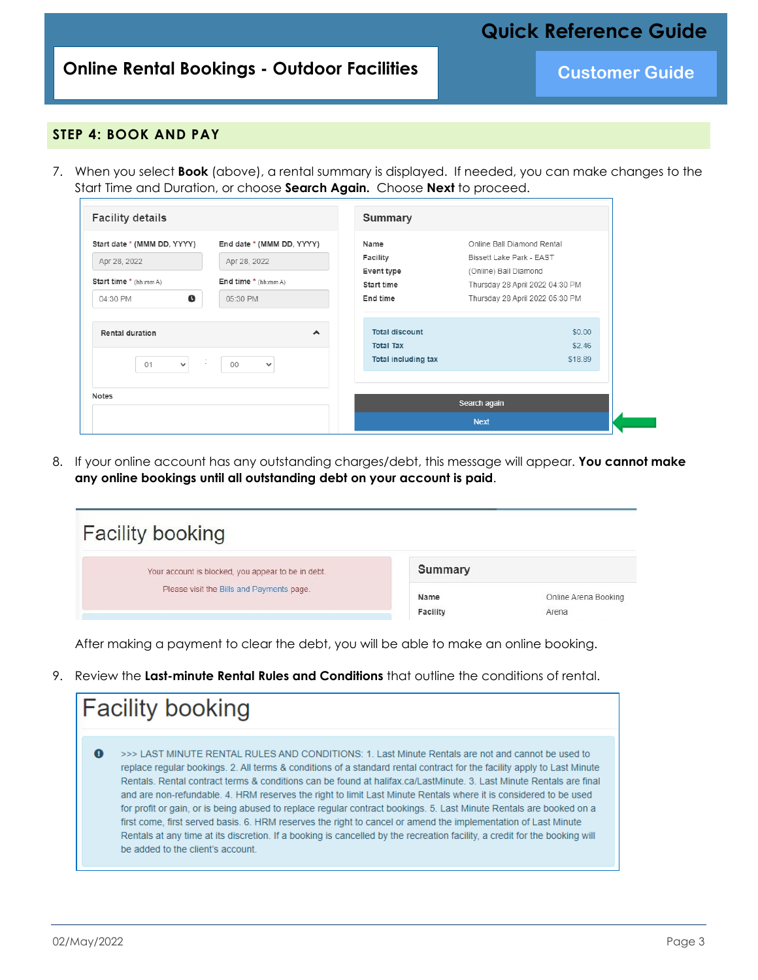### **Online Rental Bookings - Outdoor Facilities and Customer Guide**

#### **STEP 4: BOOK AND PAY**

7. When you select **Book** (above), a rental summary is displayed. If needed, you can make changes to the Start Time and Duration, or choose **Search Again.** Choose **Next** to proceed.

| <b>Facility details</b>                     |                                           | <b>Summary</b>           |                                                          |
|---------------------------------------------|-------------------------------------------|--------------------------|----------------------------------------------------------|
| Start date * (MMM DD, YYYY)<br>Apr 28, 2022 | End date * (MMM DD, YYYY)<br>Apr 28, 2022 | Name<br>Facility         | Online Ball Diamond Rental<br>Bissett Lake Park - EAST   |
| Start time * (hh:mm A)                      | End time $*$ (hh:mm A)                    | Event type<br>Start time | (Online) Ball Diamond<br>Thursday 28 April 2022 04:30 PM |
| $\bf{o}$<br>04:30 PM                        | 05:30 PM                                  | End time                 | Thursday 28 April 2022 05:30 PM                          |
| Rental duration                             | $\blacktriangle$                          | <b>Total discount</b>    | \$0.00                                                   |
|                                             |                                           | <b>Total Tax</b>         | \$2.46                                                   |
| ÷<br>01<br>$\checkmark$                     | 00<br>$\checkmark$                        | Total including tax      | \$18.89                                                  |
| <b>Notes</b>                                |                                           |                          | Search again                                             |
|                                             |                                           |                          | <b>Next</b>                                              |

8. If your online account has any outstanding charges/debt, this message will appear. **You cannot make any online bookings until all outstanding debt on your account is paid**.

| <b>Facility booking</b>                            |                  |                               |  |
|----------------------------------------------------|------------------|-------------------------------|--|
| Your account is blocked, you appear to be in debt. | <b>Summary</b>   |                               |  |
| Please visit the Bills and Payments page.          | Name<br>Facility | Online Arena Booking<br>Arena |  |

After making a payment to clear the debt, you will be able to make an online booking.

9. Review the **Last-minute Rental Rules and Conditions** that outline the conditions of rental.

|   | <b>Facility booking</b>                                                                                                                                                                                                                                                                                                                                                                                                                                                                                                                                                                                                                                                                                                                                                                                                                                                              |
|---|--------------------------------------------------------------------------------------------------------------------------------------------------------------------------------------------------------------------------------------------------------------------------------------------------------------------------------------------------------------------------------------------------------------------------------------------------------------------------------------------------------------------------------------------------------------------------------------------------------------------------------------------------------------------------------------------------------------------------------------------------------------------------------------------------------------------------------------------------------------------------------------|
| o | >>> LAST MINUTE RENTAL RULES AND CONDITIONS: 1. Last Minute Rentals are not and cannot be used to<br>replace regular bookings. 2. All terms & conditions of a standard rental contract for the facility apply to Last Minute<br>Rentals, Rental contract terms & conditions can be found at halifax ca/l astMinute, 3, Last Minute Rentals are final<br>and are non-refundable. 4. HRM reserves the right to limit Last Minute Rentals where it is considered to be used<br>for profit or gain, or is being abused to replace regular contract bookings. 5. Last Minute Rentals are booked on a<br>first come, first served basis, 6. HRM reserves the right to cancel or amend the implementation of Last Minute<br>Rentals at any time at its discretion. If a booking is cancelled by the recreation facility, a credit for the booking will<br>be added to the client's account. |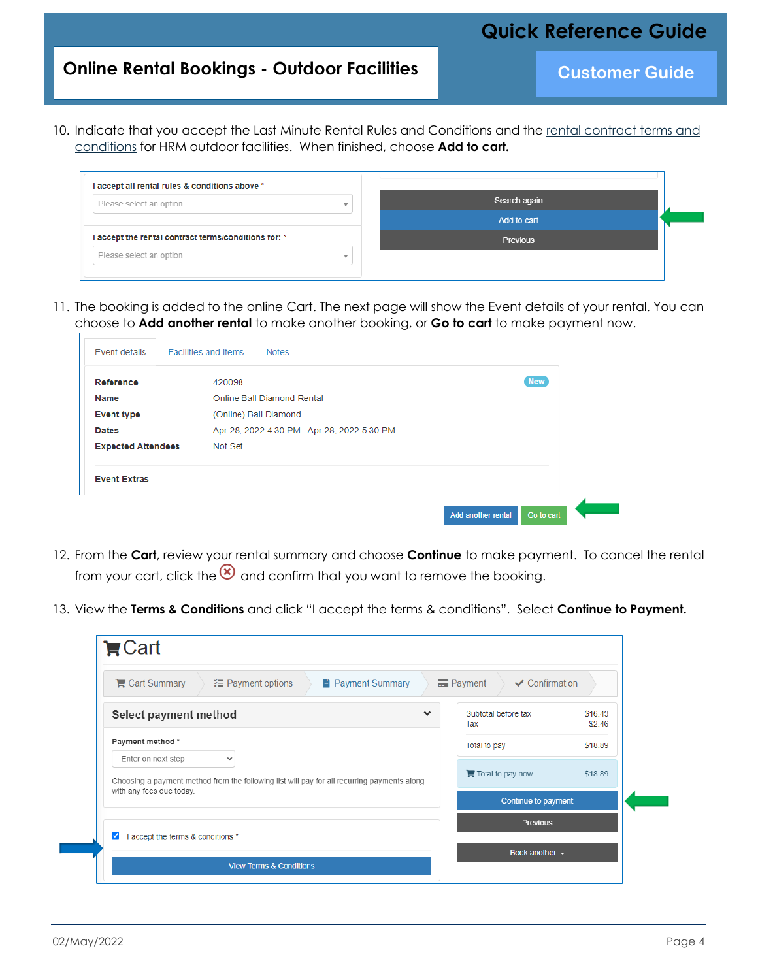### **Online Rental Bookings - Outdoor Facilities and Customer Guide**

10. Indicate that you accept the Last Minute Rental Rules and Conditions and the [rental contract terms and](https://www.halifax.ca/parks-recreation/facility-rentals-bookings-field-conditions/last-minute-rentals)  [conditions](https://www.halifax.ca/parks-recreation/facility-rentals-bookings-field-conditions/last-minute-rentals) for HRM outdoor facilities. When finished, choose **Add to cart.**

| I accept all rental rules & conditions above *       |        |                 |  |
|------------------------------------------------------|--------|-----------------|--|
| Please select an option                              | $\sim$ | Search again    |  |
|                                                      |        | Add to cart     |  |
| I accept the rental contract terms/conditions for: * |        | <b>Previous</b> |  |
| Please select an option                              |        |                 |  |
|                                                      |        |                 |  |

11. The booking is added to the online Cart. The next page will show the Event details of your rental. You can choose to **Add another rental** to make another booking, or **Go to cart** to make payment now.

| Event details             | <b>Facilities and items</b><br><b>Notes</b> |            |
|---------------------------|---------------------------------------------|------------|
| Reference                 | <b>New</b><br>420098                        |            |
| <b>Name</b>               | Online Ball Diamond Rental                  |            |
| <b>Event type</b>         | (Online) Ball Diamond                       |            |
| <b>Dates</b>              | Apr 28, 2022 4:30 PM - Apr 28, 2022 5:30 PM |            |
| <b>Expected Attendees</b> | Not Set                                     |            |
| <b>Event Extras</b>       |                                             |            |
|                           | Add another rental                          | Go to cart |

- 12. From the **Cart**, review your rental summary and choose **Continue** to make payment. To cancel the rental from your cart, click the  $\otimes$  and confirm that you want to remove the booking.
- 13. View the **Terms & Conditions** and click "I accept the terms & conditions". Select **Continue to Payment.**

| $\mathbb F$ Cart Summary<br>$\left  \right $ Payment Summary<br><b>注 Payment options</b>                                          |              | <b>E</b> Payment<br>$\vee$ Confirmation |                   |
|-----------------------------------------------------------------------------------------------------------------------------------|--------------|-----------------------------------------|-------------------|
| Select payment method                                                                                                             | $\checkmark$ | Subtotal before tax<br>Tax              | \$16.43<br>\$2.46 |
| Payment method *                                                                                                                  |              | Total to pay                            | \$18.89           |
| Enter on next step<br>$\checkmark$<br>Choosing a payment method from the following list will pay for all recurring payments along |              | $\blacktriangleright$ Total to pay now  | \$18.89           |
| with any fees due today.                                                                                                          |              | Continue to payment                     |                   |
| ✔                                                                                                                                 |              | <b>Previous</b>                         |                   |
| I accept the terms & conditions *                                                                                                 |              |                                         |                   |
| <b>View Terms &amp; Conditions</b>                                                                                                |              | Book another $\sim$                     |                   |